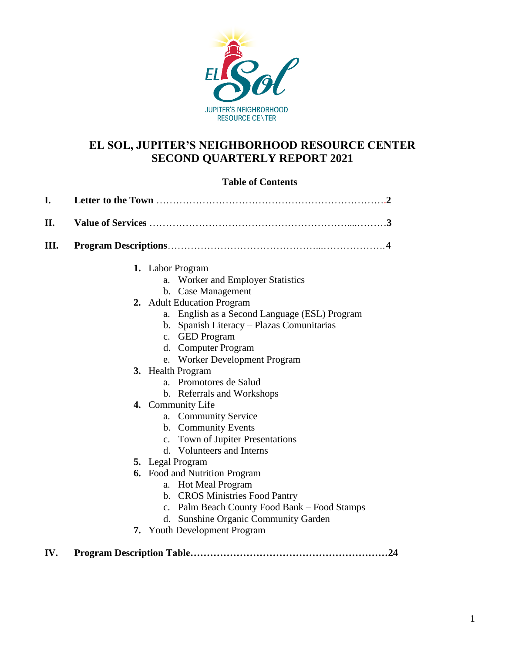

## **EL SOL, JUPITER'S NEIGHBORHOOD RESOURCE CENTER SECOND QUARTERLY REPORT 2021**

### **Table of Contents**

| I.   |                                                |
|------|------------------------------------------------|
| II.  |                                                |
| III. |                                                |
|      | 1. Labor Program                               |
|      | a. Worker and Employer Statistics              |
|      | b. Case Management                             |
|      | 2. Adult Education Program                     |
|      | a. English as a Second Language (ESL) Program  |
|      | b. Spanish Literacy - Plazas Comunitarias      |
|      | c. GED Program                                 |
|      | d. Computer Program                            |
|      | e. Worker Development Program                  |
|      | 3. Health Program                              |
|      | a. Promotores de Salud                         |
|      | b. Referrals and Workshops                     |
|      | 4. Community Life                              |
|      | a. Community Service                           |
|      | b. Community Events                            |
|      | c. Town of Jupiter Presentations               |
|      | d. Volunteers and Interns                      |
|      | <b>5.</b> Legal Program                        |
|      | <b>6.</b> Food and Nutrition Program           |
|      | a. Hot Meal Program                            |
|      | b. CROS Ministries Food Pantry                 |
|      | c. Palm Beach County Food Bank – Food Stamps   |
|      | <b>Sunshine Organic Community Garden</b><br>d. |
|      | 7. Youth Development Program                   |
|      |                                                |

**IV. Program Description Table……………………………………………………24**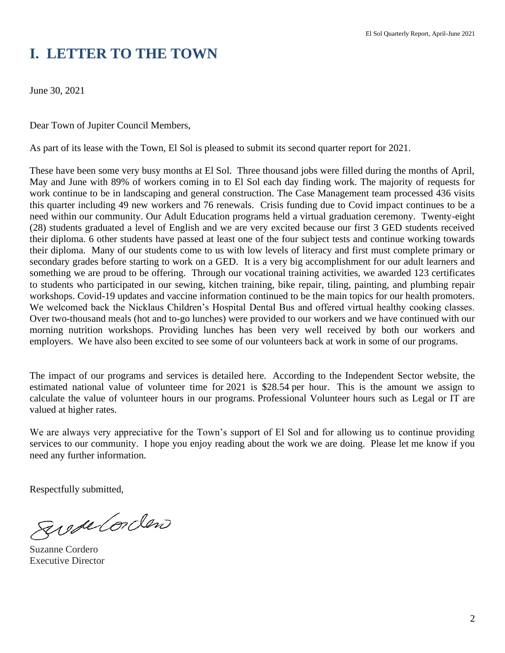# **I. LETTER TO THE TOWN**

June 30, 2021

Dear Town of Jupiter Council Members,

As part of its lease with the Town, El Sol is pleased to submit its second quarter report for 2021.

These have been some very busy months at El Sol. Three thousand jobs were filled during the months of April, May and June with 89% of workers coming in to El Sol each day finding work. The majority of requests for work continue to be in landscaping and general construction. The Case Management team processed 436 visits this quarter including 49 new workers and 76 renewals. Crisis funding due to Covid impact continues to be a need within our community. Our Adult Education programs held a virtual graduation ceremony. Twenty-eight (28) students graduated a level of English and we are very excited because our first 3 GED students received their diploma. 6 other students have passed at least one of the four subject tests and continue working towards their diploma. Many of our students come to us with low levels of literacy and first must complete primary or secondary grades before starting to work on a GED. It is a very big accomplishment for our adult learners and something we are proud to be offering. Through our vocational training activities, we awarded 123 certificates to students who participated in our sewing, kitchen training, bike repair, tiling, painting, and plumbing repair workshops. Covid-19 updates and vaccine information continued to be the main topics for our health promoters. We welcomed back the Nicklaus Children's Hospital Dental Bus and offered virtual healthy cooking classes. Over two-thousand meals (hot and to-go lunches) were provided to our workers and we have continued with our morning nutrition workshops. Providing lunches has been very well received by both our workers and employers. We have also been excited to see some of our volunteers back at work in some of our programs.

The impact of our programs and services is detailed here. According to the Independent Sector website, the estimated national value of volunteer time for 2021 is \$28.54 per hour. This is the amount we assign to calculate the value of volunteer hours in our programs. Professional Volunteer hours such as Legal or IT are valued at higher rates.

We are always very appreciative for the Town's support of El Sol and for allowing us to continue providing services to our community. I hope you enjoy reading about the work we are doing. Please let me know if you need any further information.

Respectfully submitted,

Sweetorden

Suzanne Cordero Executive Director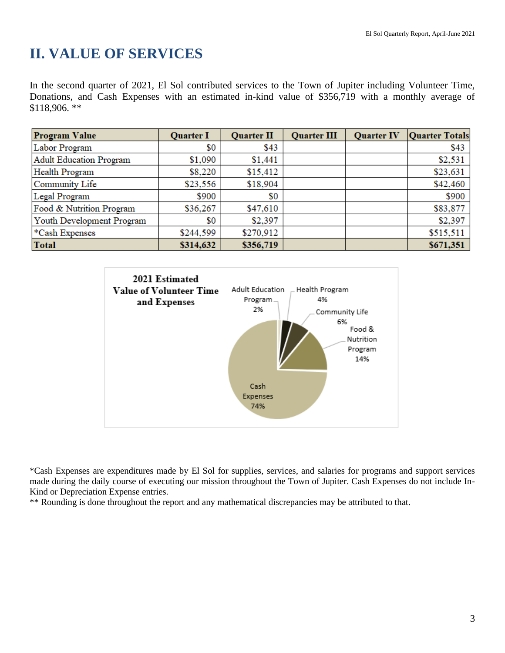# **II. VALUE OF SERVICES**

In the second quarter of 2021, El Sol contributed services to the Town of Jupiter including Volunteer Time, Donations, and Cash Expenses with an estimated in-kind value of \$356,719 with a monthly average of \$118,906. \*\*

| <b>Program Value</b>      | <b>Quarter I</b> | <b>Quarter II</b> | <b>Quarter III</b> | <b>Quarter IV</b> | <b>Quarter Totals</b> |
|---------------------------|------------------|-------------------|--------------------|-------------------|-----------------------|
| Labor Program             | \$0              | \$43              |                    |                   | \$43                  |
| Adult Education Program   | \$1,090          | \$1,441           |                    |                   | \$2,531               |
| Health Program            | \$8,220          | \$15,412          |                    |                   | \$23,631              |
| Community Life            | \$23,556         | \$18,904          |                    |                   | \$42,460              |
| Legal Program             | \$900            | \$0               |                    |                   | \$900                 |
| Food & Nutrition Program  | \$36,267         | \$47,610          |                    |                   | \$83,877              |
| Youth Development Program | \$0              | \$2,397           |                    |                   | \$2,397               |
| *Cash Expenses            | \$244,599        | \$270,912         |                    |                   | \$515,511             |
| <b>Total</b>              | \$314,632        | \$356,719         |                    |                   | \$671,351             |



\*Cash Expenses are expenditures made by El Sol for supplies, services, and salaries for programs and support services made during the daily course of executing our mission throughout the Town of Jupiter. Cash Expenses do not include In-Kind or Depreciation Expense entries.

\*\* Rounding is done throughout the report and any mathematical discrepancies may be attributed to that.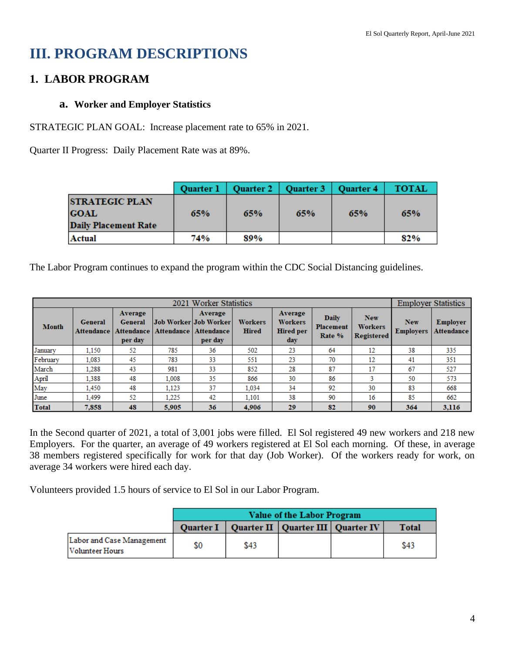# **III. PROGRAM DESCRIPTIONS**

## **1. LABOR PROGRAM**

### **a. Worker and Employer Statistics**

STRATEGIC PLAN GOAL: Increase placement rate to 65% in 2021.

Quarter II Progress: Daily Placement Rate was at 89%.

|                                                                     | <b>Quarter 1</b> |     | Quarter 2   Quarter 3   Quarter 4 |     | <b>TOTAL</b> |
|---------------------------------------------------------------------|------------------|-----|-----------------------------------|-----|--------------|
| <b>STRATEGIC PLAN</b><br><b>GOAL</b><br><b>Daily Placement Rate</b> | 65%              | 65% | 65%                               | 65% | 65%          |
| Actual                                                              | 74%              | 89% |                                   |     | 82%          |

The Labor Program continues to expand the program within the CDC Social Distancing guidelines.

|              |                       |                                             | 2021              | <b>Worker Statistics</b>                                    |                                |                                                      |                              |                                                   | <b>Employer Statistics</b>     |                                      |
|--------------|-----------------------|---------------------------------------------|-------------------|-------------------------------------------------------------|--------------------------------|------------------------------------------------------|------------------------------|---------------------------------------------------|--------------------------------|--------------------------------------|
| <b>Month</b> | General<br>Attendance | Average<br>General<br>Attendance<br>per day | <b>Attendance</b> | Average<br> Job Worker Job Worker <br>Attendance<br>per day | <b>Workers</b><br><b>Hired</b> | Average<br><b>Workers</b><br><b>Hired per</b><br>day | Daily<br>Placement<br>Rate % | <b>New</b><br><b>Workers</b><br><b>Registered</b> | <b>New</b><br><b>Employers</b> | <b>Employer</b><br><b>Attendance</b> |
| January      | 1.150                 | 52                                          | 785               | 36                                                          | 502                            | 23                                                   | 64                           | 12                                                | 38                             | 335                                  |
| February     | 1.083                 | 45                                          | 783               | 33                                                          | 551                            | 23                                                   | 70                           | 12                                                | 41                             | 351                                  |
| March        | 1.288                 | 43                                          | 981               | 33                                                          | 852                            | 28                                                   | 87                           | 17                                                | 67                             | 527                                  |
| April        | 1.388                 | 48                                          | 1.008             | 35                                                          | 866                            | 30                                                   | 86                           |                                                   | 50                             | 573                                  |
| May          | 1.450                 | 48                                          | 1,123             | 37                                                          | 1,034                          | 34                                                   | 92                           | 30                                                | 83                             | 668                                  |
| June         | 1.499                 | 52                                          | 1.225             | 42                                                          | 1,101                          | 38                                                   | 90                           | 16                                                | 85                             | 662                                  |
| <b>Total</b> | 7,858                 | 48                                          | 5,905             | 36                                                          | 4,906                          | 29                                                   | 82                           | 90                                                | 364                            | 3.116                                |

In the Second quarter of 2021, a total of 3,001 jobs were filled. El Sol registered 49 new workers and 218 new Employers. For the quarter, an average of 49 workers registered at El Sol each morning. Of these, in average 38 members registered specifically for work for that day (Job Worker). Of the workers ready for work, on average 34 workers were hired each day.

Volunteers provided 1.5 hours of service to El Sol in our Labor Program.

|                                                     | Value of the Labor Program |      |                                       |  |              |  |  |
|-----------------------------------------------------|----------------------------|------|---------------------------------------|--|--------------|--|--|
|                                                     | <b>Quarter I</b>           |      | Quarter II   Quarter III   Quarter IV |  | <b>Total</b> |  |  |
| Labor and Case Management<br><b>Volunteer Hours</b> | \$0                        | \$43 |                                       |  | \$43         |  |  |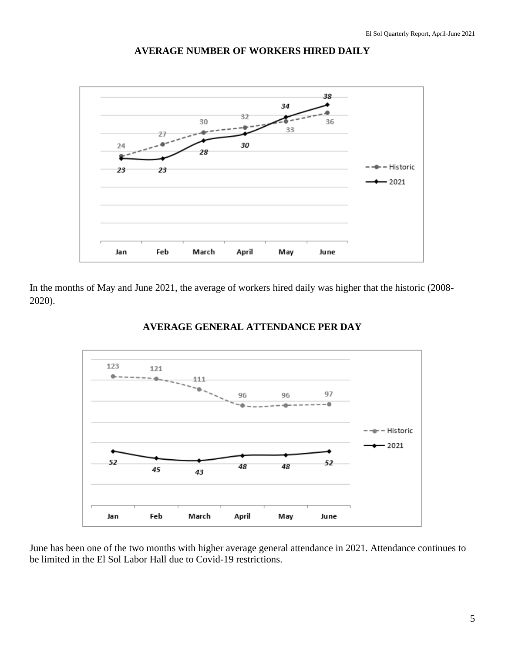

#### **AVERAGE NUMBER OF WORKERS HIRED DAILY**

In the months of May and June 2021, the average of workers hired daily was higher that the historic (2008- 2020).



#### **AVERAGE GENERAL ATTENDANCE PER DAY**

June has been one of the two months with higher average general attendance in 2021. Attendance continues to be limited in the El Sol Labor Hall due to Covid-19 restrictions.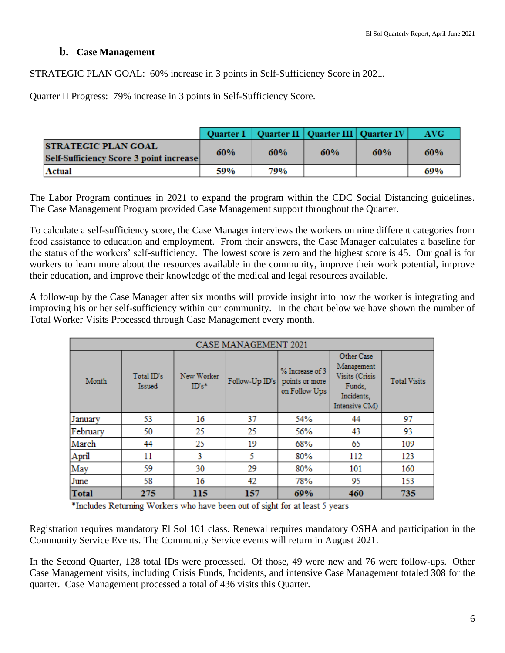#### **b. Case Management**

STRATEGIC PLAN GOAL: 60% increase in 3 points in Self-Sufficiency Score in 2021.

Quarter II Progress: 79% increase in 3 points in Self-Sufficiency Score.

|        |                                                                        |     |     | Quarter I   Quarter II   Quarter III   Quarter IV |     | AVG- |
|--------|------------------------------------------------------------------------|-----|-----|---------------------------------------------------|-----|------|
|        | <b>ISTRATEGIC PLAN GOAL</b><br>Self-Sufficiency Score 3 point increase | 60% | 60% | 60%                                               | 60% | 60%  |
| Actual |                                                                        | 59% | 79% |                                                   |     | 69%  |

The Labor Program continues in 2021 to expand the program within the CDC Social Distancing guidelines. The Case Management Program provided Case Management support throughout the Quarter.

To calculate a self-sufficiency score, the Case Manager interviews the workers on nine different categories from food assistance to education and employment. From their answers, the Case Manager calculates a baseline for the status of the workers' self-sufficiency. The lowest score is zero and the highest score is 45. Our goal is for workers to learn more about the resources available in the community, improve their work potential, improve their education, and improve their knowledge of the medical and legal resources available.

A follow-up by the Case Manager after six months will provide insight into how the worker is integrating and improving his or her self-sufficiency within our community. In the chart below we have shown the number of Total Worker Visits Processed through Case Management every month.

|              | <b>CASE MANAGEMENT 2021</b> |                       |                |                                                    |                                                                                     |                     |  |  |  |  |
|--------------|-----------------------------|-----------------------|----------------|----------------------------------------------------|-------------------------------------------------------------------------------------|---------------------|--|--|--|--|
| Month        | Total ID's<br>Issued        | New Worker<br>$ID's*$ | Follow-Up ID's | % Increase of 3<br>points or more<br>on Follow Ups | Other Case<br>Management<br>Visits (Crisis<br>Funds,<br>Incidents.<br>Intensive CM) | <b>Total Visits</b> |  |  |  |  |
| January      | 53                          | 16                    | 37             | 54%                                                | 44                                                                                  | 97                  |  |  |  |  |
| February     | 50                          | 25                    | 25             | 56%                                                | 43                                                                                  | 93                  |  |  |  |  |
| March        | 44                          | 25                    | 19             | 68%                                                | 65                                                                                  | 109                 |  |  |  |  |
| April        | 11                          | 3                     | 5              | 80%                                                | 112                                                                                 | 123                 |  |  |  |  |
| May          | 59                          | 30                    | 29             | 80%                                                | 101                                                                                 | 160                 |  |  |  |  |
| June         | 58                          | 16                    | 42             | 78%                                                | 95                                                                                  | 153                 |  |  |  |  |
| <b>Total</b> | 275                         | 115                   | 157            | 69%                                                | 460                                                                                 | 735                 |  |  |  |  |

\*Includes Returning Workers who have been out of sight for at least 5 years

Registration requires mandatory El Sol 101 class. Renewal requires mandatory OSHA and participation in the Community Service Events. The Community Service events will return in August 2021.

In the Second Quarter, 128 total IDs were processed. Of those, 49 were new and 76 were follow-ups. Other Case Management visits, including Crisis Funds, Incidents, and intensive Case Management totaled 308 for the quarter. Case Management processed a total of 436 visits this Quarter.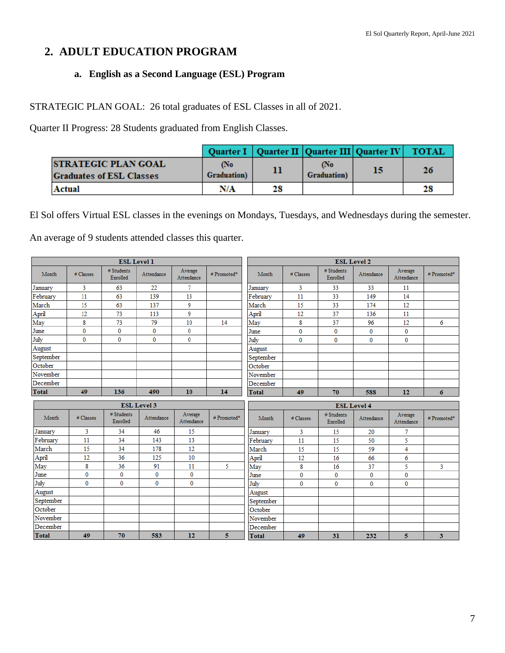## **2. ADULT EDUCATION PROGRAM**

### **a. English as a Second Language (ESL) Program**

STRATEGIC PLAN GOAL: 26 total graduates of ESL Classes in all of 2021.

Quarter II Progress: 28 Students graduated from English Classes.

|                                                               |                            |    |                            | Quarter I   Quarter II   Quarter III   Quarter IV   TOTAL |    |
|---------------------------------------------------------------|----------------------------|----|----------------------------|-----------------------------------------------------------|----|
| <b>STRATEGIC PLAN GOAL</b><br><b>Graduates of ESL Classes</b> | (No<br><b>Graduation</b> ) |    | (No<br><b>Graduation</b> ) | 15                                                        | 26 |
| Actual                                                        | N/A                        | 28 |                            |                                                           | 28 |

El Sol offers Virtual ESL classes in the evenings on Mondays, Tuesdays, and Wednesdays during the semester. An average of 9 students attended classes this quarter.

|                         |              | <b>ESL Level 1</b>     |                    |                       |            | <b>ESL Level 2</b> |              |                        |                                  |                       |            |
|-------------------------|--------------|------------------------|--------------------|-----------------------|------------|--------------------|--------------|------------------------|----------------------------------|-----------------------|------------|
| Month                   | # Classes    | # Students<br>Enrolled | Attendance         | Average<br>Attendance | #Promoted* | Month              | # Classes    | # Students<br>Enrolled | Attendance                       | Average<br>Attendance | #Promoted* |
| January                 | 3            | 63                     | 22                 | 7                     |            | January            | 3            | 33                     | 33                               | 11                    |            |
| February                | 11           | 63                     | 139                | 13                    |            | February           | 11           | 33                     | 149                              | 14                    |            |
| March                   | 15           | 63                     | 137                | 9                     |            | March              | 15           | 33                     | 174                              | 12                    |            |
| April                   | 12           | 73                     | 113                | 9                     |            | April              | 12           | 37                     | 136                              | 11                    |            |
| $\overline{\text{May}}$ | 8            | 73                     | 79                 | 10                    | 14         | May                | 8            | 37                     | 96                               | 12                    | 6          |
| June                    | $\mathbf{0}$ | $\bf{0}$               | $\bf{0}$           | $\bf{0}$              |            | June               | $\bf{0}$     | $\bf{0}$               | $\bf{0}$                         | 0                     |            |
| July                    | $\mathbf{0}$ | $\mathbf{0}$           | $\mathbf{0}$       | $\mathbf{0}$          |            | July               | $\bf{0}$     | $\bf{0}$               | $\bf{0}$                         | 0                     |            |
| August                  |              |                        |                    |                       |            | August             |              |                        |                                  |                       |            |
| September               |              |                        |                    |                       |            | September          |              |                        |                                  |                       |            |
| October                 |              |                        |                    |                       |            | October            |              |                        |                                  |                       |            |
| November                |              |                        |                    |                       |            | November           |              |                        |                                  |                       |            |
| December                |              |                        |                    |                       |            | December           |              |                        |                                  |                       |            |
| Total                   | 49           | 136                    | 490                | 10                    | 14         | Total              | 49           | 70                     | 588                              | 12                    | 6          |
|                         |              |                        |                    |                       |            |                    |              |                        |                                  |                       |            |
|                         |              |                        | <b>ESL Level 3</b> |                       |            |                    |              |                        |                                  |                       |            |
| Month                   | # Classes    | # Students<br>Enrolled | Attendance         | Average<br>Attendance | #Promoted* | Month              | # Classes    | # Students<br>Enrolled | <b>ESL Level 4</b><br>Attendance | Average<br>Attendance | #Promoted* |
| January                 | 3            | 34                     | 46                 | 15                    |            | January            | 3            | 15                     | 20                               | 7                     |            |
| February                | 11           | 34                     | 143                | 13                    |            | February           | 11           | 15                     | 50                               | 5                     |            |
| March                   | 15           | 34                     | 178                | 12                    |            | March              | 15           | 15                     | 59                               | 4                     |            |
| April                   | 12           | 36                     | 125                | 10                    |            | April              | 12           | 16                     | 66                               | 6                     |            |
| May                     | 8            | 36                     | 91                 | 11                    | 5          | May                | 8            | 16                     | 37                               | 5                     | 3          |
| June                    | $\bf{0}$     | $\bf{0}$               | $\mathbf 0$        | 0                     |            | June               | $\mathbf{0}$ | $\mathbf{0}$           | $\bf{0}$                         | $\mathbf{0}$          |            |
| July                    | $\Omega$     | $\Omega$               | $\mathbf{0}$       | $\mathbf{0}$          |            | July               | $\bf{0}$     | $\mathbf 0$            | $\bf{0}$                         | 0                     |            |
| August                  |              |                        |                    |                       |            | August             |              |                        |                                  |                       |            |
| September               |              |                        |                    |                       |            | September          |              |                        |                                  |                       |            |
| October                 |              |                        |                    |                       |            | October            |              |                        |                                  |                       |            |
| November                |              |                        |                    |                       |            | November           |              |                        |                                  |                       |            |
| December                |              |                        |                    |                       |            | December           |              |                        |                                  |                       |            |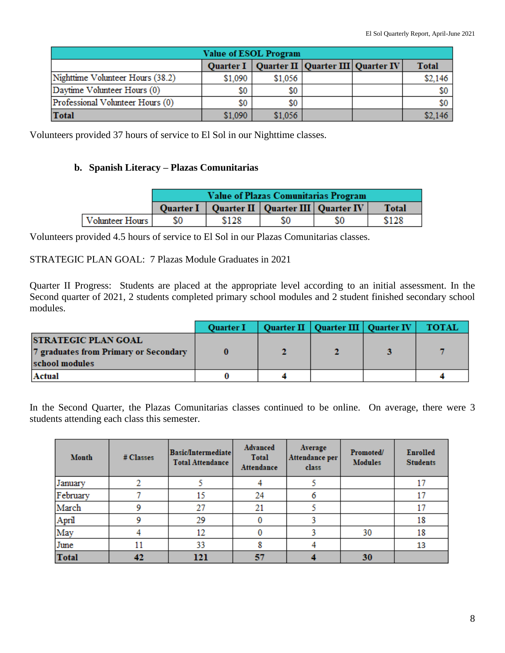| <b>Value of ESOL Program</b>                                      |         |         |  |  |                  |  |  |  |
|-------------------------------------------------------------------|---------|---------|--|--|------------------|--|--|--|
| Quarter I   Quarter II   Quarter III   Quarter IV<br><b>Total</b> |         |         |  |  |                  |  |  |  |
| Nighttime Volunteer Hours (38.2)                                  | \$1,090 | \$1,056 |  |  | \$2,146          |  |  |  |
| Daytime Volunteer Hours (0)                                       | \$0     |         |  |  | \$0              |  |  |  |
| Professional Volunteer Hours (0)                                  | \$0     | \$0     |  |  | \$0 <sub>1</sub> |  |  |  |
| <b>Total</b>                                                      | \$1,090 | \$1,056 |  |  | \$2,146          |  |  |  |

Volunteers provided 37 hours of service to El Sol in our Nighttime classes.

#### **b. Spanish Literacy – Plazas Comunitarias**

|                 |     | <b>Value of Plazas Comunitarias Program</b> |                                                   |    |              |  |  |  |
|-----------------|-----|---------------------------------------------|---------------------------------------------------|----|--------------|--|--|--|
|                 |     |                                             | Quarter I   Quarter II   Quarter III   Quarter IV |    | <b>Total</b> |  |  |  |
| Volunteer Hours | SO. | \$128                                       | SO.                                               | S0 | \$128        |  |  |  |

Volunteers provided 4.5 hours of service to El Sol in our Plazas Comunitarias classes.

#### STRATEGIC PLAN GOAL: 7 Plazas Module Graduates in 2021

Quarter II Progress: Students are placed at the appropriate level according to an initial assessment. In the Second quarter of 2021, 2 students completed primary school modules and 2 student finished secondary school modules.

|                                                                                       | <b>Quarter I</b> | Quarter II   Quarter III   Quarter IV | <b>TOTAL</b> |
|---------------------------------------------------------------------------------------|------------------|---------------------------------------|--------------|
| <b>STRATEGIC PLAN GOAL</b><br>7 graduates from Primary or Secondary<br>school modules |                  |                                       |              |
| Actual                                                                                |                  |                                       |              |

In the Second Quarter, the Plazas Comunitarias classes continued to be online. On average, there were 3 students attending each class this semester.

| Month        | # Classes | <b>Basic/Intermediate</b><br>Total Attendance | Advanced<br><b>Total</b><br><b>Attendance</b> | Average<br>Attendance per<br>class | Promoted/<br><b>Modules</b> | <b>Enrolled</b><br><b>Students</b> |
|--------------|-----------|-----------------------------------------------|-----------------------------------------------|------------------------------------|-----------------------------|------------------------------------|
| January      |           |                                               |                                               |                                    |                             | 17                                 |
| February     |           | 15                                            | 24                                            | 6                                  |                             | 17                                 |
| March        | ٥         | 27                                            | 21                                            |                                    |                             | 17                                 |
| April        |           | 29                                            |                                               |                                    |                             | 18                                 |
| May          |           | 12                                            |                                               |                                    | 30                          | 18                                 |
| June         | 11        | 33                                            |                                               |                                    |                             | 13                                 |
| <b>Total</b> | 42        | 121                                           | 57                                            |                                    | 30                          |                                    |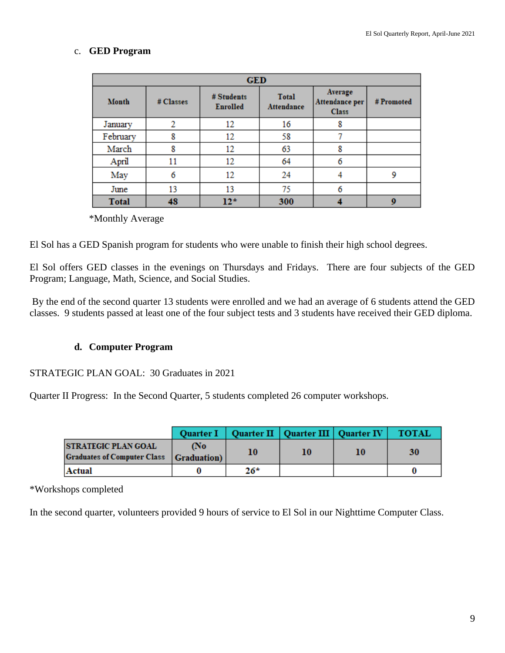### c. **GED Program**

| <b>GED</b>   |           |                               |                                   |                                           |            |  |  |
|--------------|-----------|-------------------------------|-----------------------------------|-------------------------------------------|------------|--|--|
| Month        | # Classes | # Students<br><b>Enrolled</b> | <b>Total</b><br><b>Attendance</b> | Average<br>Attendance per<br><b>Class</b> | # Promoted |  |  |
| January      | 2         | 12                            | 16                                | 8                                         |            |  |  |
| February     | 8         | 12                            | 58                                | 7                                         |            |  |  |
| March        | 8         | 12                            | 63                                | 8                                         |            |  |  |
| April        | 11        | 12                            | 64                                | 6                                         |            |  |  |
| May          | 6         | 12                            | 24                                | 4                                         | 9          |  |  |
| June         | 13        | 13                            | 75                                | 6                                         |            |  |  |
| <b>Total</b> | 48        | $12*$                         | 300                               |                                           | $\bf{Q}$   |  |  |

\*Monthly Average

El Sol has a GED Spanish program for students who were unable to finish their high school degrees.

El Sol offers GED classes in the evenings on Thursdays and Fridays. There are four subjects of the GED Program; Language, Math, Science, and Social Studies.

By the end of the second quarter 13 students were enrolled and we had an average of 6 students attend the GED classes. 9 students passed at least one of the four subject tests and 3 students have received their GED diploma.

#### **d. Computer Program**

#### STRATEGIC PLAN GOAL: 30 Graduates in 2021

Quarter II Progress: In the Second Quarter, 5 students completed 26 computer workshops.

|                                                                               |     |       | Quarter I   Quarter II   Quarter III   Quarter IV |    | <b>TOTAL</b> |
|-------------------------------------------------------------------------------|-----|-------|---------------------------------------------------|----|--------------|
| <b>STRATEGIC PLAN GOAL</b><br><b>Graduates of Computer Class Graduation</b> ) | (No | 10    | 10                                                | 10 | 30           |
| Actual                                                                        |     | $26*$ |                                                   |    |              |

\*Workshops completed

In the second quarter, volunteers provided 9 hours of service to El Sol in our Nighttime Computer Class.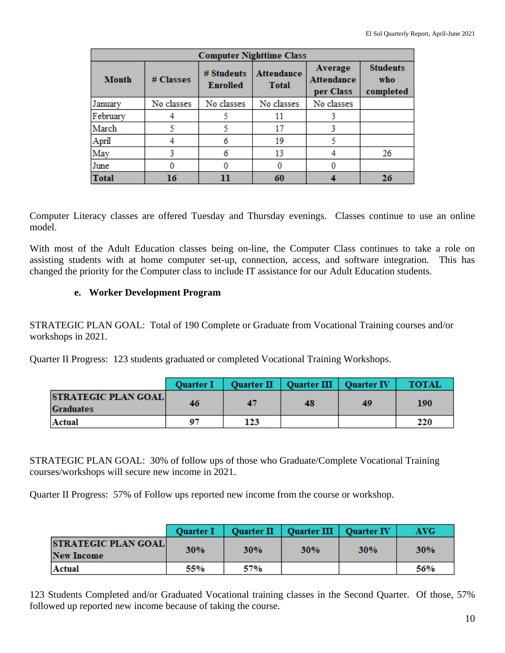| <b>Computer Nighttime Class</b> |            |                               |                                                                     |            |                                     |  |  |
|---------------------------------|------------|-------------------------------|---------------------------------------------------------------------|------------|-------------------------------------|--|--|
| <b>Month</b>                    | # Classes  | # Students<br><b>Enrolled</b> | <b>Attendance</b><br><b>Attendance</b><br><b>Total</b><br>per Class |            | <b>Students</b><br>who<br>completed |  |  |
| January                         | No classes | No classes                    | No classes                                                          | No classes |                                     |  |  |
| February                        |            |                               | 11                                                                  |            |                                     |  |  |
| March                           |            |                               | 17                                                                  |            |                                     |  |  |
| April                           |            |                               | 19                                                                  |            |                                     |  |  |
| May                             |            |                               | 13                                                                  |            | 26                                  |  |  |
| June                            |            |                               |                                                                     |            |                                     |  |  |
| <b>Total</b>                    | 16         |                               | 60                                                                  |            | 26                                  |  |  |

Computer Literacy classes are offered Tuesday and Thursday evenings. Classes continue to use an online model.

With most of the Adult Education classes being on-line, the Computer Class continues to take a role on assisting students with at home computer set-up, connection, access, and software integration. This has changed the priority for the Computer class to include IT assistance for our Adult Education students.

#### **e. Worker Development Program**

STRATEGIC PLAN GOAL: Total of 190 Complete or Graduate from Vocational Training courses and/or workshops in 2021.

Quarter II Progress: 123 students graduated or completed Vocational Training Workshops.

|                                                | <b>Ouarter I</b> |     | Quarter II   Quarter III   Quarter IV |    | <b>TOTAL</b> |
|------------------------------------------------|------------------|-----|---------------------------------------|----|--------------|
| <b>STRATEGIC PLAN GOAL</b><br><b>Graduates</b> | 46               | 47  | 48                                    | 49 | 190          |
| Actual                                         | 07               | 123 |                                       |    | 220          |

STRATEGIC PLAN GOAL: 30% of follow ups of those who Graduate/Complete Vocational Training courses/workshops will secure new income in 2021.

Quarter II Progress: 57% of Follow ups reported new income from the course or workshop.

|                                                 | <b>Ouarter I</b> |            | Quarter II   Quarter III   Quarter IV |            | <b>AVG</b> |
|-------------------------------------------------|------------------|------------|---------------------------------------|------------|------------|
| <b>STRATEGIC PLAN GOAL</b><br><b>New Income</b> | <b>30%</b>       | <b>30%</b> | <b>30%</b>                            | <b>30%</b> | <b>30%</b> |
| Actual                                          | 55%              | 57%        |                                       |            | 56%        |

123 Students Completed and/or Graduated Vocational training classes in the Second Quarter. Of those, 57% followed up reported new income because of taking the course.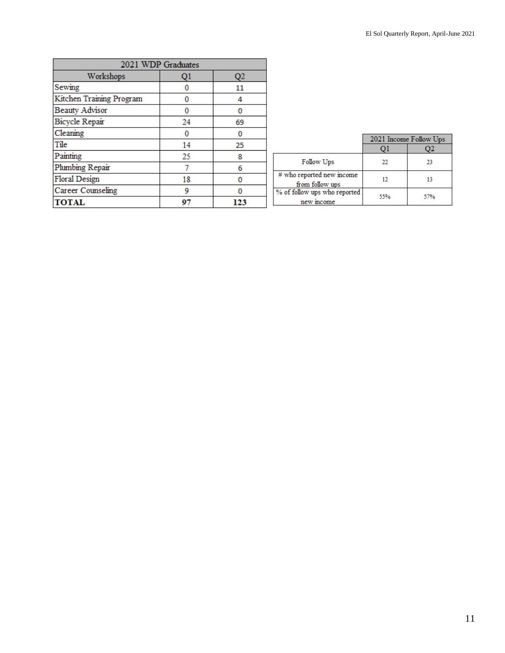|                          | 2021 WDP Graduates |     |  |  |  |  |
|--------------------------|--------------------|-----|--|--|--|--|
| Workshops                | Q1                 | Q2  |  |  |  |  |
| Sewing                   |                    | 11  |  |  |  |  |
| Kitchen Training Program |                    | 4   |  |  |  |  |
| <b>Beauty Advisor</b>    |                    | 0   |  |  |  |  |
| Bicycle Repair           | 24                 | 69  |  |  |  |  |
| Cleaning                 |                    | 0   |  |  |  |  |
| Tile                     | 14                 | 25  |  |  |  |  |
| Painting                 | 25                 | 8   |  |  |  |  |
| Plumbing Repair          |                    | 6   |  |  |  |  |
| Floral Design            | 18                 | 0   |  |  |  |  |
| Career Counseling        | 9                  | 0   |  |  |  |  |
| <b>TOTAL</b>             | 97                 | 123 |  |  |  |  |

|                                              | 2021 Income Follow Ups |     |  |
|----------------------------------------------|------------------------|-----|--|
|                                              |                        |     |  |
| Follow Ups                                   | 22                     | 23  |  |
| # who reported new income<br>from follow ups | 12                     | 13  |  |
| % of follow ups who reported<br>new income   | 55%                    | 57% |  |

 $\parallel$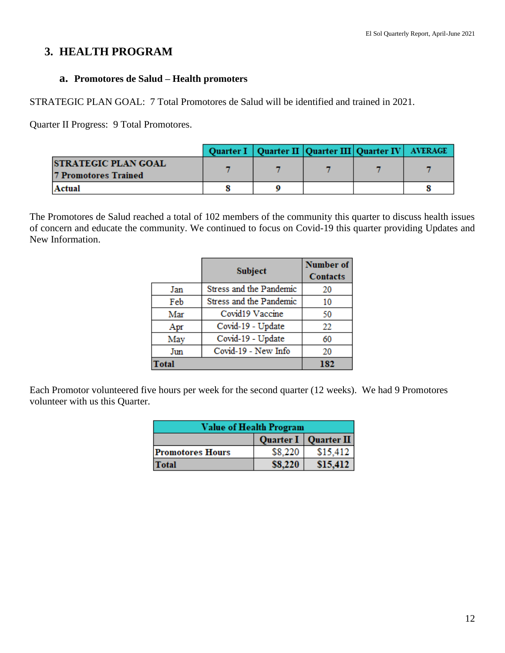### **3. HEALTH PROGRAM**

#### **a. Promotores de Salud – Health promoters**

STRATEGIC PLAN GOAL: 7 Total Promotores de Salud will be identified and trained in 2021.

Quarter II Progress: 9 Total Promotores.

|                            |  | Quarter I   Quarter II   Quarter III   Quarter IV   AVERAGE |  |
|----------------------------|--|-------------------------------------------------------------|--|
| <b>STRATEGIC PLAN GOAL</b> |  |                                                             |  |
| 7 Promotores Trained       |  |                                                             |  |
| Actual                     |  |                                                             |  |

The Promotores de Salud reached a total of 102 members of the community this quarter to discuss health issues of concern and educate the community. We continued to focus on Covid-19 this quarter providing Updates and New Information.

|       | <b>Subject</b>          | <b>Number of</b><br><b>Contacts</b> |
|-------|-------------------------|-------------------------------------|
| Jan   | Stress and the Pandemic | 20                                  |
| Feb   | Stress and the Pandemic | 10                                  |
| Mar   | Covid19 Vaccine         | 50                                  |
| Apr   | Covid-19 - Update       | 22                                  |
| May   | Covid-19 - Update       | 60                                  |
| Jun   | Covid-19 - New Info     | 20                                  |
| Total |                         | 182                                 |

Each Promotor volunteered five hours per week for the second quarter (12 weeks). We had 9 Promotores volunteer with us this Quarter.

| Value of Health Program |         |          |  |  |
|-------------------------|---------|----------|--|--|
| Quarter I Quarter II    |         |          |  |  |
| <b>Promotores Hours</b> | \$8,220 | \$15,412 |  |  |
| Total                   | \$8,220 | \$15,412 |  |  |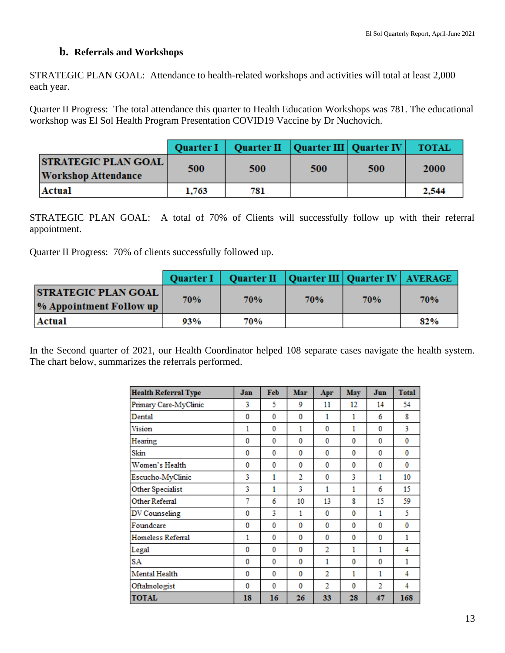#### **b. Referrals and Workshops**

STRATEGIC PLAN GOAL: Attendance to health-related workshops and activities will total at least 2,000 each year.

Quarter II Progress: The total attendance this quarter to Health Education Workshops was 781. The educational workshop was El Sol Health Program Presentation COVID19 Vaccine by Dr Nuchovich.

|                                                    |       | Quarter I   Quarter II   Quarter III   Quarter IV |     |     | <b>TOTAL</b> |
|----------------------------------------------------|-------|---------------------------------------------------|-----|-----|--------------|
| <b>STRATEGIC PLAN GOAL</b><br> Workshop Attendance | 500   | 500                                               | 500 | 500 | 2000         |
| Actual                                             | 1,763 | 781                                               |     |     | 2,544        |

STRATEGIC PLAN GOAL: A total of 70% of Clients will successfully follow up with their referral appointment.

Quarter II Progress: 70% of clients successfully followed up.

|                                                       | <b>Quarter I</b> | Quarter II   Quarter III   Quarter IV   AVERAGE |     |     |     |
|-------------------------------------------------------|------------------|-------------------------------------------------|-----|-----|-----|
| <b>STRATEGIC PLAN GOAL</b><br>% Appointment Follow up | 70%              | 70%                                             | 70% | 70% | 70% |
| Actual                                                | 93%              | 70%                                             |     |     | 82% |

In the Second quarter of 2021, our Health Coordinator helped 108 separate cases navigate the health system. The chart below, summarizes the referrals performed.

| <b>Health Referral Type</b> | Jan | Feb | Mar | Apr            | May | Jun | <b>Total</b> |
|-----------------------------|-----|-----|-----|----------------|-----|-----|--------------|
| Primary Care-MyClinic       | 3   | 5   | 9   | 11             | 12  | 14  | 54           |
| Dental                      | 0   | 0   | 0   | 1              | 1   | 6   | 8            |
| Vision                      | 1   | 0   | 1   | 0              | 1   | 0   | 3            |
| Hearing                     | 0   | 0   | 0   | 0              | 0   | 0   | 0            |
| Skin                        | 0   | 0   | 0   | 0              | 0   | 0   | 0            |
| Women's Health              | 0   | 0   | 0   | 0              | 0   | 0   | 0            |
| Escucho-MyClinic            | 3   | 1   | 2   | 0              | 3   | 1   | 10           |
| Other Specialist            | 3   | 1   | 3   | 1              | 1   | 6   | 15           |
| Other Referral              | 7   | 6   | 10  | 13             | 8   | 15  | 59           |
| DV Counseling               | 0   | 3   | 1   | 0              | 0   | 1   | 5            |
| Foundcare                   | 0   | 0   | 0   | 0              | 0   | 0   | 0            |
| Homeless Referral           | 1   | 0   | 0   | 0              | 0   | 0   | 1            |
| Legal                       | 0   | 0   | 0   | $\overline{2}$ | 1   | 1   | 4            |
| SA                          | 0   | 0   | 0   | 1              | 0   | 0   | 1            |
| Mental Health               | 0   | 0   | 0   | 2              | 1   | 1   | 4            |
| Oftalmologist               | 0   | 0   | 0   | 2              | 0   | 2   | 4            |
| <b>TOTAL</b>                | 18  | 16  | 26  | 33             | 28  | 47  | 168          |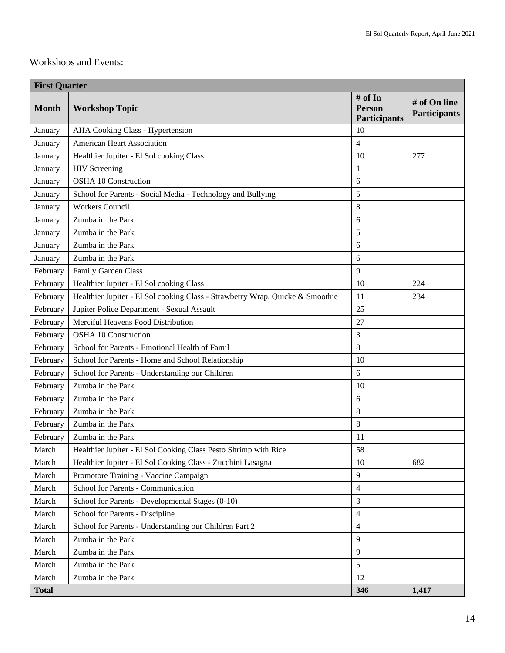# Workshops and Events:

| <b>First Quarter</b> |                                                                               |                                                 |                                     |  |  |  |
|----------------------|-------------------------------------------------------------------------------|-------------------------------------------------|-------------------------------------|--|--|--|
| <b>Month</b>         | <b>Workshop Topic</b>                                                         | # of In<br><b>Person</b><br><b>Participants</b> | # of On line<br><b>Participants</b> |  |  |  |
| January              | AHA Cooking Class - Hypertension                                              | 10                                              |                                     |  |  |  |
| January              | American Heart Association                                                    | $\overline{4}$                                  |                                     |  |  |  |
| January              | Healthier Jupiter - El Sol cooking Class                                      | 10                                              | 277                                 |  |  |  |
| January              | <b>HIV</b> Screening                                                          | 1                                               |                                     |  |  |  |
| January              | <b>OSHA 10 Construction</b>                                                   | 6                                               |                                     |  |  |  |
| January              | School for Parents - Social Media - Technology and Bullying                   | 5                                               |                                     |  |  |  |
| January              | <b>Workers Council</b>                                                        | 8                                               |                                     |  |  |  |
| January              | Zumba in the Park                                                             | 6                                               |                                     |  |  |  |
| January              | Zumba in the Park                                                             | 5                                               |                                     |  |  |  |
| January              | Zumba in the Park                                                             | 6                                               |                                     |  |  |  |
| January              | Zumba in the Park                                                             | 6                                               |                                     |  |  |  |
| February             | Family Garden Class                                                           | 9                                               |                                     |  |  |  |
| February             | Healthier Jupiter - El Sol cooking Class                                      | 10                                              | 224                                 |  |  |  |
| February             | Healthier Jupiter - El Sol cooking Class - Strawberry Wrap, Quicke & Smoothie | 11                                              | 234                                 |  |  |  |
| February             | Jupiter Police Department - Sexual Assault                                    | 25                                              |                                     |  |  |  |
| February             | Merciful Heavens Food Distribution                                            | 27                                              |                                     |  |  |  |
| February             | <b>OSHA 10 Construction</b>                                                   | 3                                               |                                     |  |  |  |
| February             | School for Parents - Emotional Health of Famil                                | 8                                               |                                     |  |  |  |
| February             | School for Parents - Home and School Relationship                             | 10                                              |                                     |  |  |  |
| February             | School for Parents - Understanding our Children                               | 6                                               |                                     |  |  |  |
| February             | Zumba in the Park                                                             | 10                                              |                                     |  |  |  |
| February             | Zumba in the Park                                                             | 6                                               |                                     |  |  |  |
| February             | Zumba in the Park                                                             | 8                                               |                                     |  |  |  |
| February             | Zumba in the Park                                                             | 8                                               |                                     |  |  |  |
| February             | Zumba in the Park                                                             | 11                                              |                                     |  |  |  |
| March                | Healthier Jupiter - El Sol Cooking Class Pesto Shrimp with Rice               | 58                                              |                                     |  |  |  |
| March                | Healthier Jupiter - El Sol Cooking Class - Zucchini Lasagna                   | 10                                              | 682                                 |  |  |  |
| March                | Promotore Training - Vaccine Campaign                                         | $\overline{9}$                                  |                                     |  |  |  |
| March                | School for Parents - Communication                                            | $\overline{4}$                                  |                                     |  |  |  |
| March                | School for Parents - Developmental Stages (0-10)                              | 3                                               |                                     |  |  |  |
| March                | School for Parents - Discipline                                               | $\overline{4}$                                  |                                     |  |  |  |
| March                | School for Parents - Understanding our Children Part 2                        | $\overline{4}$                                  |                                     |  |  |  |
| March                | Zumba in the Park                                                             | 9                                               |                                     |  |  |  |
| March                | Zumba in the Park                                                             | 9                                               |                                     |  |  |  |
| March                | Zumba in the Park                                                             | $\mathfrak{S}$                                  |                                     |  |  |  |
| March                | Zumba in the Park                                                             | 12                                              |                                     |  |  |  |
| <b>Total</b>         |                                                                               | 346                                             | 1,417                               |  |  |  |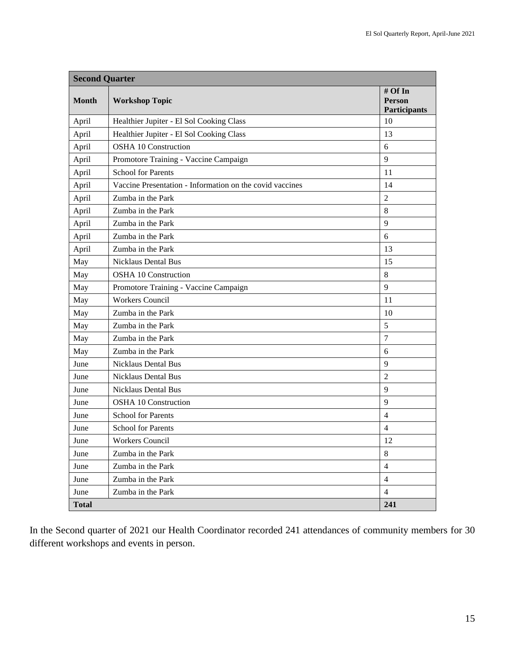|              | <b>Second Quarter</b>                                    |                                          |  |  |  |  |
|--------------|----------------------------------------------------------|------------------------------------------|--|--|--|--|
| <b>Month</b> | <b>Workshop Topic</b>                                    | # Of In<br><b>Person</b><br>Participants |  |  |  |  |
| April        | Healthier Jupiter - El Sol Cooking Class                 | 10                                       |  |  |  |  |
| April        | Healthier Jupiter - El Sol Cooking Class                 | 13                                       |  |  |  |  |
| April        | <b>OSHA 10 Construction</b>                              | 6                                        |  |  |  |  |
| April        | Promotore Training - Vaccine Campaign                    | 9                                        |  |  |  |  |
| April        | <b>School for Parents</b>                                | 11                                       |  |  |  |  |
| April        | Vaccine Presentation - Information on the covid vaccines | 14                                       |  |  |  |  |
| April        | Zumba in the Park                                        | 2                                        |  |  |  |  |
| April        | Zumba in the Park                                        | 8                                        |  |  |  |  |
| April        | Zumba in the Park                                        | 9                                        |  |  |  |  |
| April        | Zumba in the Park                                        | 6                                        |  |  |  |  |
| April        | Zumba in the Park                                        | 13                                       |  |  |  |  |
| May          | <b>Nicklaus Dental Bus</b>                               | 15                                       |  |  |  |  |
| May          | <b>OSHA 10 Construction</b>                              | 8                                        |  |  |  |  |
| May          | Promotore Training - Vaccine Campaign                    | 9                                        |  |  |  |  |
| May          | <b>Workers Council</b>                                   | 11                                       |  |  |  |  |
| May          | Zumba in the Park                                        | 10                                       |  |  |  |  |
| May          | Zumba in the Park                                        | 5                                        |  |  |  |  |
| May          | Zumba in the Park                                        | $\tau$                                   |  |  |  |  |
| May          | Zumba in the Park                                        | 6                                        |  |  |  |  |
| June         | <b>Nicklaus Dental Bus</b>                               | 9                                        |  |  |  |  |
| June         | <b>Nicklaus Dental Bus</b>                               | $\overline{2}$                           |  |  |  |  |
| June         | <b>Nicklaus Dental Bus</b>                               | $\mathbf{Q}$                             |  |  |  |  |
| June         | <b>OSHA 10 Construction</b>                              | 9                                        |  |  |  |  |
| June         | <b>School for Parents</b>                                | $\overline{4}$                           |  |  |  |  |
| June         | <b>School for Parents</b>                                | 4                                        |  |  |  |  |
| June         | Workers Council                                          | 12                                       |  |  |  |  |
| June         | Zumba in the Park                                        | $\,8\,$                                  |  |  |  |  |
| June         | Zumba in the Park                                        | $\overline{4}$                           |  |  |  |  |
| June         | Zumba in the Park                                        | $\overline{4}$                           |  |  |  |  |
| June         | Zumba in the Park                                        | $\overline{4}$                           |  |  |  |  |
| <b>Total</b> |                                                          | 241                                      |  |  |  |  |

In the Second quarter of 2021 our Health Coordinator recorded 241 attendances of community members for 30 different workshops and events in person.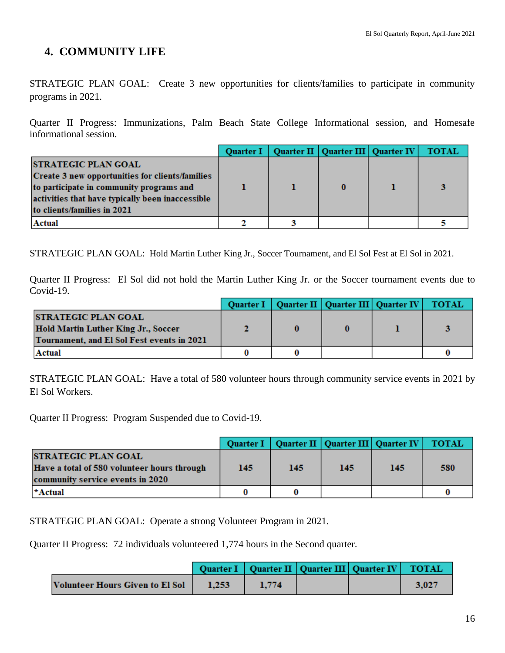## **4. COMMUNITY LIFE**

STRATEGIC PLAN GOAL: Create 3 new opportunities for clients/families to participate in community programs in 2021.

Quarter II Progress: Immunizations, Palm Beach State College Informational session, and Homesafe informational session.

|                                                                                             | <b>Quarter I</b> | Quarter II   Quarter III   Quarter IV | <b>TOTAL</b> |
|---------------------------------------------------------------------------------------------|------------------|---------------------------------------|--------------|
| <b>STRATEGIC PLAN GOAL</b>                                                                  |                  |                                       |              |
| Create 3 new opportunities for clients/families<br>to participate in community programs and |                  |                                       |              |
| activities that have typically been inaccessible                                            |                  |                                       |              |
| to clients/families in 2021                                                                 |                  |                                       |              |
| Actual                                                                                      |                  |                                       |              |

STRATEGIC PLAN GOAL: Hold Martin Luther King Jr., Soccer Tournament, and El Sol Fest at El Sol in 2021.

Quarter II Progress: El Sol did not hold the Martin Luther King Jr. or the Soccer tournament events due to Covid-19.

|                                                                                          |  | Quarter I   Quarter II   Quarter III   Quarter IV | <b>TOTAL</b> |
|------------------------------------------------------------------------------------------|--|---------------------------------------------------|--------------|
| <b>STRATEGIC PLAN GOAL</b>                                                               |  |                                                   |              |
| <b>Hold Martin Luther King Jr., Soccer</b><br>Tournament, and El Sol Fest events in 2021 |  |                                                   |              |
| Actual                                                                                   |  |                                                   |              |

STRATEGIC PLAN GOAL: Have a total of 580 volunteer hours through community service events in 2021 by El Sol Workers.

Quarter II Progress: Program Suspended due to Covid-19.

|                                                                                                               | <b>Ouarter I</b> |     | Quarter II   Quarter III   Quarter IV |     | <b>TOTAL</b> |
|---------------------------------------------------------------------------------------------------------------|------------------|-----|---------------------------------------|-----|--------------|
| <b>STRATEGIC PLAN GOAL</b><br>Have a total of 580 volunteer hours through<br>community service events in 2020 | 145              | 145 | 145                                   | 145 | 580          |
| *Actual                                                                                                       |                  |     |                                       |     |              |

STRATEGIC PLAN GOAL: Operate a strong Volunteer Program in 2021.

Quarter II Progress: 72 individuals volunteered 1,774 hours in the Second quarter.

|                                 |       |       | Quarter I   Quarter II   Quarter III   Quarter IV   TOTAL |       |
|---------------------------------|-------|-------|-----------------------------------------------------------|-------|
| Volunteer Hours Given to El Sol | 1.253 | 1.774 |                                                           | 3,027 |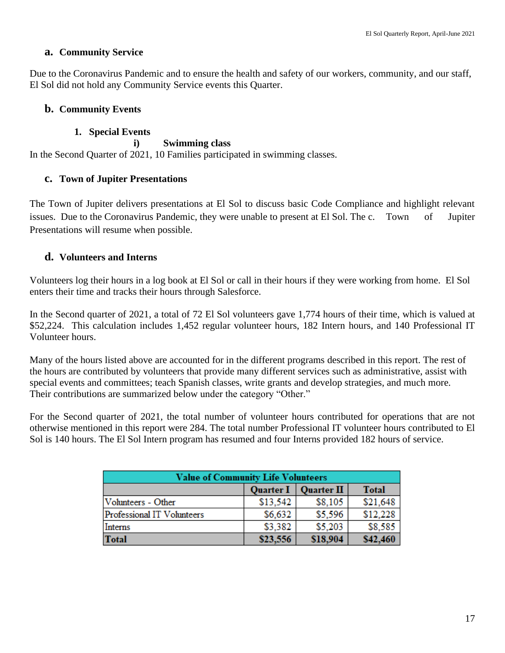#### **a. Community Service**

Due to the Coronavirus Pandemic and to ensure the health and safety of our workers, community, and our staff, El Sol did not hold any Community Service events this Quarter.

### **b. Community Events**

#### **1. Special Events**

**i) Swimming class** In the Second Quarter of 2021, 10 Families participated in swimming classes.

#### **c. Town of Jupiter Presentations**

The Town of Jupiter delivers presentations at El Sol to discuss basic Code Compliance and highlight relevant issues. Due to the Coronavirus Pandemic, they were unable to present at El Sol. The c. Town of Jupiter Presentations will resume when possible.

### **d. Volunteers and Interns**

Volunteers log their hours in a log book at El Sol or call in their hours if they were working from home. El Sol enters their time and tracks their hours through Salesforce.

In the Second quarter of 2021, a total of 72 El Sol volunteers gave 1,774 hours of their time, which is valued at \$52,224. This calculation includes 1,452 regular volunteer hours, 182 Intern hours, and 140 Professional IT Volunteer hours.

Many of the hours listed above are accounted for in the different programs described in this report. The rest of the hours are contributed by volunteers that provide many different services such as administrative, assist with special events and committees; teach Spanish classes, write grants and develop strategies, and much more. Their contributions are summarized below under the category "Other."

For the Second quarter of 2021, the total number of volunteer hours contributed for operations that are not otherwise mentioned in this report were 284. The total number Professional IT volunteer hours contributed to El Sol is 140 hours. The El Sol Intern program has resumed and four Interns provided 182 hours of service.

| <b>Value of Community Life Volunteers</b> |                       |                   |              |  |  |  |
|-------------------------------------------|-----------------------|-------------------|--------------|--|--|--|
|                                           | Quarter $I \parallel$ | <b>Quarter II</b> | <b>Total</b> |  |  |  |
| Volunteers - Other                        | \$13,542              | \$8,105           | \$21,648     |  |  |  |
| Professional IT Volunteers                | \$6,632               | \$5,596           | \$12,228     |  |  |  |
| Interns                                   | \$3,382               | \$5,203           | \$8,585      |  |  |  |
| <b>Total</b>                              | \$23,556              | \$18,904          | \$42,460     |  |  |  |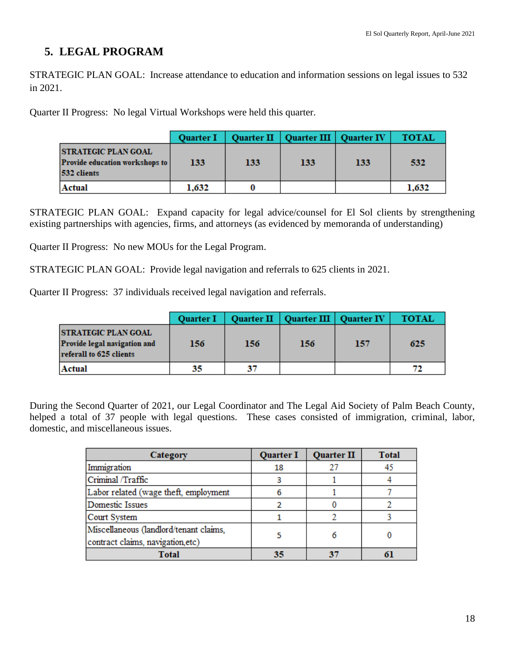## **5. LEGAL PROGRAM**

STRATEGIC PLAN GOAL: Increase attendance to education and information sessions on legal issues to 532 in 2021.

Quarter II Progress: No legal Virtual Workshops were held this quarter.

|                                                                                    | <b>Quarter I</b> |     | Quarter II   Quarter III   Quarter IV |     | <b>TOTAL</b> |
|------------------------------------------------------------------------------------|------------------|-----|---------------------------------------|-----|--------------|
| <b>STRATEGIC PLAN GOAL</b><br><b>Provide education workshops to</b><br>532 clients | 133              | 133 | 133                                   | 133 | 532          |
| Actual                                                                             | 1,632            |     |                                       |     | 1,632        |

STRATEGIC PLAN GOAL: Expand capacity for legal advice/counsel for El Sol clients by strengthening existing partnerships with agencies, firms, and attorneys (as evidenced by memoranda of understanding)

Quarter II Progress: No new MOUs for the Legal Program.

STRATEGIC PLAN GOAL: Provide legal navigation and referrals to 625 clients in 2021.

Quarter II Progress: 37 individuals received legal navigation and referrals.

|                                                                                       | <b>Quarter I</b> |     | Quarter II   Quarter III   Quarter IV |     | <b>TOTAL</b> |
|---------------------------------------------------------------------------------------|------------------|-----|---------------------------------------|-----|--------------|
| <b>STRATEGIC PLAN GOAL</b><br>Provide legal navigation and<br>referall to 625 clients | 156              | 156 | 156                                   | 157 | 625          |
| Actual                                                                                | 35               | 37  |                                       |     |              |

During the Second Quarter of 2021, our Legal Coordinator and The Legal Aid Society of Palm Beach County, helped a total of 37 people with legal questions. These cases consisted of immigration, criminal, labor, domestic, and miscellaneous issues.

| Category                                                                    | <b>Quarter I</b> | <b>Quarter II</b> | <b>Total</b> |
|-----------------------------------------------------------------------------|------------------|-------------------|--------------|
| Immigration                                                                 | 18               | 27                |              |
| Criminal /Traffic                                                           |                  |                   |              |
| Labor related (wage theft, employment                                       |                  |                   |              |
| Domestic Issues                                                             |                  |                   |              |
| Court System                                                                |                  |                   |              |
| Miscellaneous (landlord/tenant claims,<br>contract claims, navigation, etc) |                  |                   |              |
| Total                                                                       | 35               | 37                |              |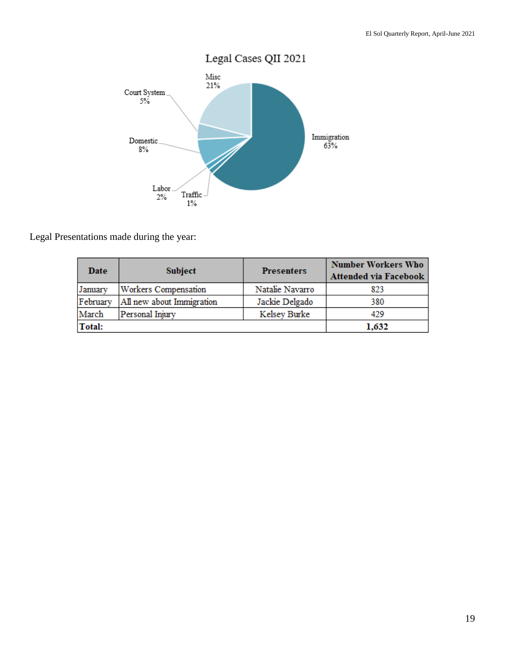

Legal Presentations made during the year:

| Date     | <b>Subject</b>              | <b>Presenters</b> | <b>Number Workers Who</b><br><b>Attended via Facebook</b> |
|----------|-----------------------------|-------------------|-----------------------------------------------------------|
| January  | <b>Workers Compensation</b> | Natalie Navarro   | 823                                                       |
| February | All new about Immigration   | Jackie Delgado    | 380                                                       |
| March    | Personal Injury             | Kelsey Burke      | 429                                                       |
| Total:   |                             |                   | 1,632                                                     |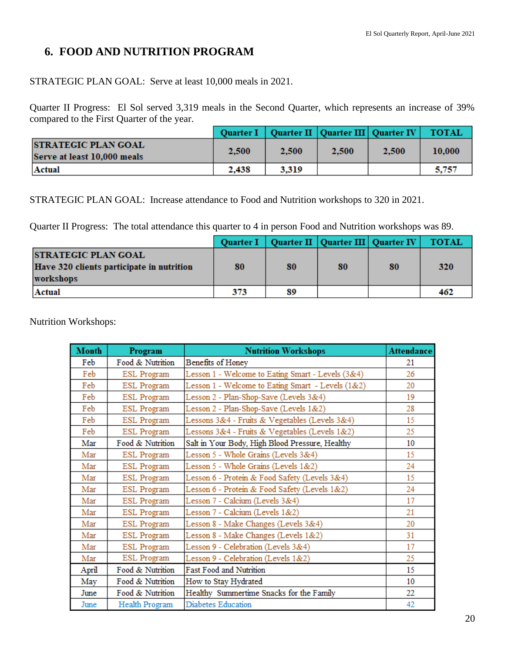## **6. FOOD AND NUTRITION PROGRAM**

STRATEGIC PLAN GOAL: Serve at least 10,000 meals in 2021.

Quarter II Progress: El Sol served 3,319 meals in the Second Quarter, which represents an increase of 39% compared to the First Quarter of the year.

|                                                           |       |       |       | Quarter I   Quarter II   Quarter III   Quarter IV | <b>TOTAL</b> |
|-----------------------------------------------------------|-------|-------|-------|---------------------------------------------------|--------------|
| <b>STRATEGIC PLAN GOAL</b><br>Serve at least 10,000 meals | 2,500 | 2,500 | 2,500 | 2,500                                             | 10,000       |
| Actual                                                    | 2,438 | 3.319 |       |                                                   | 5,757        |

STRATEGIC PLAN GOAL: Increase attendance to Food and Nutrition workshops to 320 in 2021.

Quarter II Progress: The total attendance this quarter to 4 in person Food and Nutrition workshops was 89.

|                                                                                      | <b>Ouarter I</b> |    |    | Quarter II   Quarter III   Quarter IV | <b>TOTAL</b> |
|--------------------------------------------------------------------------------------|------------------|----|----|---------------------------------------|--------------|
| <b>STRATEGIC PLAN GOAL</b><br>Have 320 clients participate in nutrition<br>workshops | 80               | 80 | 80 | 80                                    | 320          |
| Actual                                                                               | 373              | 89 |    |                                       | 462          |

Nutrition Workshops:

| <b>Month</b> | Program            | <b>Nutrition Workshops</b>                        | <b>Attendance</b> |
|--------------|--------------------|---------------------------------------------------|-------------------|
| Feb          | Food & Nutrition   | Benefits of Honey                                 | 21                |
| Feb          | <b>ESL Program</b> | Lesson 1 - Welcome to Eating Smart - Levels (3&4) | 26                |
| Feb          | <b>ESL Program</b> | Lesson 1 - Welcome to Eating Smart - Levels (1&2) | 20                |
| Feb          | <b>ESL Program</b> | Lesson 2 - Plan-Shop-Save (Levels 3&4)            | 19                |
| Feb          | <b>ESL Program</b> | Lesson 2 - Plan-Shop-Save (Levels 1&2)            | 28                |
| Feb          | <b>ESL Program</b> | Lessons 3&4 - Fruits & Vegetables (Levels 3&4)    | 15                |
| Feb          | <b>ESL Program</b> | Lessons 3&4 - Fruits & Vegetables (Levels 1&2)    | 25                |
| Mar          | Food & Nutrition   | Salt in Your Body, High Blood Pressure, Healthy   | 10                |
| Mar          | ESL Program        | Lesson 5 - Whole Grains (Levels 3&4)              | 15                |
| Mar          | <b>ESL Program</b> | Lesson 5 - Whole Grains (Levels 1&2)              | 24                |
| Mar          | <b>ESL Program</b> | Lesson 6 - Protein & Food Safety (Levels 3&4)     | 15                |
| Mar          | <b>ESL Program</b> | Lesson 6 - Protein & Food Safety (Levels 1&2)     | 24                |
| Mar          | <b>ESL Program</b> | Lesson 7 - Calcium (Levels 3&4)                   | 17                |
| Mar          | <b>ESL Program</b> | Lesson 7 - Calcium (Levels 1&2)                   | 21                |
| Mar          | <b>ESL Program</b> | Lesson 8 - Make Changes (Levels 3&4)              | 20                |
| Mar          | <b>ESL Program</b> | Lesson 8 - Make Changes (Levels 1&2)              | 31                |
| Mar          | <b>ESL Program</b> | Lesson 9 - Celebration (Levels 3&4)               | 17                |
| Mar          | <b>ESL Program</b> | Lesson 9 - Celebration (Levels 1&2)               | 25                |
| April        | Food & Nutrition   | <b>Fast Food and Nutrition</b>                    | 15                |
| May          | Food & Nutrition   | How to Stay Hydrated                              | 10                |
| June         | Food & Nutrition   | Healthy Summertime Snacks for the Family          | 22                |
| June         | Health Program     | Diabetes Education                                | 42                |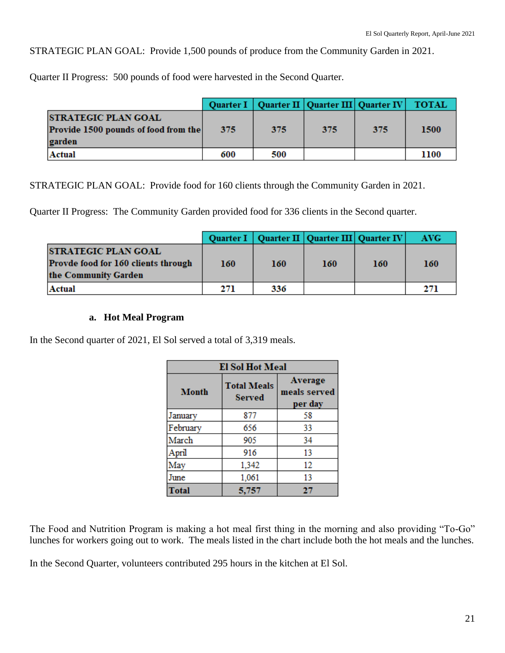STRATEGIC PLAN GOAL: Provide 1,500 pounds of produce from the Community Garden in 2021.

Quarter II Progress: 500 pounds of food were harvested in the Second Quarter.

|                                                                              |     |     | Quarter I   Quarter II   Quarter III   Quarter IV |     | <b>TOTAL</b> |
|------------------------------------------------------------------------------|-----|-----|---------------------------------------------------|-----|--------------|
| <b>STRATEGIC PLAN GOAL</b><br>Provide 1500 pounds of food from the<br>garden | 375 | 375 | 375                                               | 375 | 1500         |
| Actual                                                                       | 600 | 500 |                                                   |     | 1100         |

STRATEGIC PLAN GOAL: Provide food for 160 clients through the Community Garden in 2021.

Quarter II Progress: The Community Garden provided food for 336 clients in the Second quarter.

|                                                                                           |     |     | Quarter I   Quarter II   Quarter III   Quarter IV |            | <b>AVG</b> |
|-------------------------------------------------------------------------------------------|-----|-----|---------------------------------------------------|------------|------------|
| <b>STRATEGIC PLAN GOAL</b><br>Provde food for 160 clients through<br>the Community Garden | 160 | 160 | 160                                               | <b>160</b> | 160        |
| Actual                                                                                    | 271 | 336 |                                                   |            | 271        |

#### **a. Hot Meal Program**

In the Second quarter of 2021, El Sol served a total of 3,319 meals.

| <b>El Sol Hot Meal</b> |                                     |                                    |  |  |  |
|------------------------|-------------------------------------|------------------------------------|--|--|--|
| <b>Month</b>           | <b>Total Meals</b><br><b>Served</b> | Average<br>meals served<br>per day |  |  |  |
| January                | 877                                 | 58                                 |  |  |  |
| February               | 656                                 | 33                                 |  |  |  |
| March                  | 905                                 | 34                                 |  |  |  |
| April                  | 916                                 | 13                                 |  |  |  |
| May                    | 1,342                               | 12                                 |  |  |  |
| June                   | 1,061                               | 13                                 |  |  |  |
| <b>Total</b>           | 5,757                               | 27                                 |  |  |  |

The Food and Nutrition Program is making a hot meal first thing in the morning and also providing "To-Go" lunches for workers going out to work. The meals listed in the chart include both the hot meals and the lunches.

In the Second Quarter, volunteers contributed 295 hours in the kitchen at El Sol.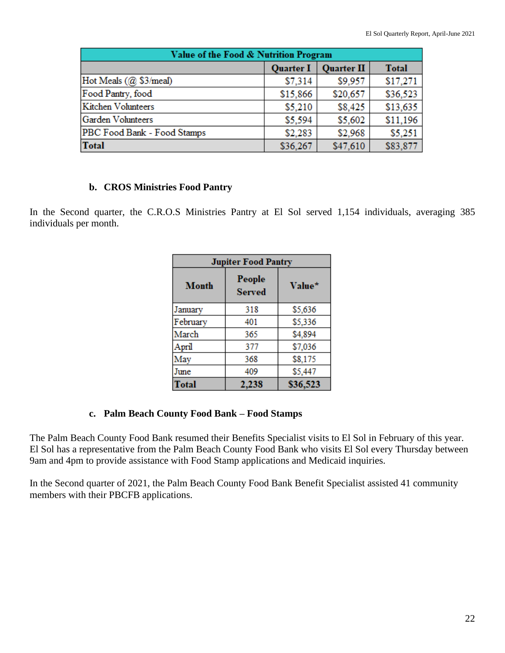| Value of the Food & Nutrition Program                 |          |          |          |  |  |  |
|-------------------------------------------------------|----------|----------|----------|--|--|--|
| <b>Quarter I</b><br><b>Total</b><br><b>Quarter II</b> |          |          |          |  |  |  |
| Hot Meals (@ \$3/meal)                                | \$7,314  | \$9,957  | \$17,271 |  |  |  |
| Food Pantry, food                                     | \$15,866 | \$20,657 | \$36,523 |  |  |  |
| Kitchen Volunteers                                    | \$5,210  | \$8,425  | \$13,635 |  |  |  |
| Garden Volunteers                                     | \$5,594  | \$5,602  | \$11,196 |  |  |  |
| PBC Food Bank - Food Stamps                           | \$2,283  | \$2,968  | \$5,251  |  |  |  |
| <b>Total</b>                                          | \$36,267 | \$47,610 | \$83,877 |  |  |  |

#### **b. CROS Ministries Food Pantry**

In the Second quarter, the C.R.O.S Ministries Pantry at El Sol served 1,154 individuals, averaging 385 individuals per month.

| <b>Jupiter Food Pantry</b> |                         |          |  |  |  |
|----------------------------|-------------------------|----------|--|--|--|
| <b>Month</b>               | People<br><b>Served</b> | Value*   |  |  |  |
| January                    | 318                     | \$5,636  |  |  |  |
| February                   | 401                     | \$5,336  |  |  |  |
| March                      | 365                     | \$4,894  |  |  |  |
| April                      | 377                     | \$7,036  |  |  |  |
| May                        | 368                     | \$8,175  |  |  |  |
| June                       | 409                     | \$5,447  |  |  |  |
| Total                      | 2.238                   | \$36,523 |  |  |  |

#### **c. Palm Beach County Food Bank – Food Stamps**

The Palm Beach County Food Bank resumed their Benefits Specialist visits to El Sol in February of this year. El Sol has a representative from the Palm Beach County Food Bank who visits El Sol every Thursday between 9am and 4pm to provide assistance with Food Stamp applications and Medicaid inquiries.

In the Second quarter of 2021, the Palm Beach County Food Bank Benefit Specialist assisted 41 community members with their PBCFB applications.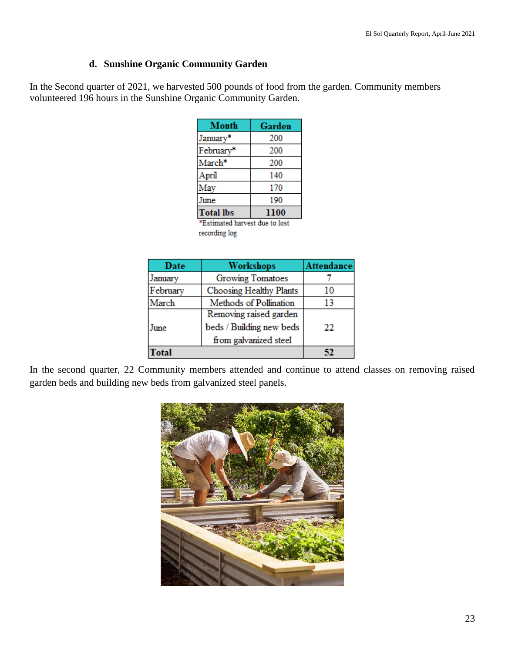#### **d. Sunshine Organic Community Garden**

In the Second quarter of 2021, we harvested 500 pounds of food from the garden. Community members volunteered 196 hours in the Sunshine Organic Community Garden.

| Month                  | Garden |
|------------------------|--------|
| January*               | 200    |
| February*              | 200    |
| March*                 | 200    |
| April                  | 140    |
| May                    | 170    |
| June                   | 190    |
| <b>Total lbs</b>       | 1100   |
| <b>STORY OF STRAIN</b> | . .    |

\*Estimated harvest due to lost recording log

| Date     | <b>Workshops</b>         | <b>Attendance</b> |
|----------|--------------------------|-------------------|
| January  | <b>Growing Tomatoes</b>  |                   |
| February | Choosing Healthy Plants  | 10                |
| March    | Methods of Pollination   | 13                |
|          | Removing raised garden   |                   |
| June     | beds / Building new beds | 22                |
|          | from galvanized steel    |                   |
| 'otal    |                          |                   |

In the second quarter, 22 Community members attended and continue to attend classes on removing raised garden beds and building new beds from galvanized steel panels.

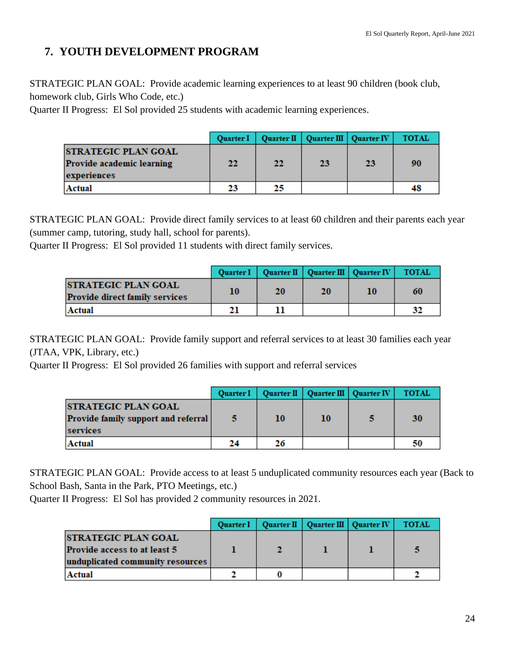## **7. YOUTH DEVELOPMENT PROGRAM**

STRATEGIC PLAN GOAL: Provide academic learning experiences to at least 90 children (book club, homework club, Girls Who Code, etc.)

Quarter II Progress: El Sol provided 25 students with academic learning experiences.

|                                                                        | <b>Ouarter I</b> |    | Quarter II   Quarter III   Quarter IV |    | <b>TOTAL</b> |
|------------------------------------------------------------------------|------------------|----|---------------------------------------|----|--------------|
| <b>STRATEGIC PLAN GOAL</b><br>Provide academic learning<br>experiences | 22               | 22 | 23                                    | 23 | 90           |
| <b>Actual</b>                                                          | 23               | 25 |                                       |    | 48           |

STRATEGIC PLAN GOAL: Provide direct family services to at least 60 children and their parents each year (summer camp, tutoring, study hall, school for parents).

Quarter II Progress: El Sol provided 11 students with direct family services.

|                                                                     |    | Quarter I   Quarter II   Quarter III   Quarter IV |    |    | <b>TOTAL</b> |
|---------------------------------------------------------------------|----|---------------------------------------------------|----|----|--------------|
| <b>STRATEGIC PLAN GOAL</b><br><b>Provide direct family services</b> | 10 | <b>20</b>                                         | 20 | 10 | 60           |
| Actual                                                              | 21 |                                                   |    |    | 32           |

STRATEGIC PLAN GOAL: Provide family support and referral services to at least 30 families each year (JTAA, VPK, Library, etc.)

Quarter II Progress: El Sol provided 26 families with support and referral services

|                                                                                      | <b>Quarter I</b> |    | Quarter II   Quarter III   Quarter IV | <b>TOTAL</b> |
|--------------------------------------------------------------------------------------|------------------|----|---------------------------------------|--------------|
| <b>STRATEGIC PLAN GOAL</b><br><b>Provide family support and referral</b><br>services | -5               | 10 | 10                                    | 30           |
| Actual                                                                               | 24               | 26 |                                       | 50           |

STRATEGIC PLAN GOAL: Provide access to at least 5 unduplicated community resources each year (Back to School Bash, Santa in the Park, PTO Meetings, etc.)

Quarter II Progress: El Sol has provided 2 community resources in 2021.

|                                                                   | <b>Ouarter I</b> |  | Quarter II   Quarter III   Quarter IV | <b>TOTAL</b> |
|-------------------------------------------------------------------|------------------|--|---------------------------------------|--------------|
| <b>STRATEGIC PLAN GOAL</b><br><b>Provide access to at least 5</b> |                  |  |                                       |              |
| unduplicated community resources                                  |                  |  |                                       |              |
| Actual                                                            |                  |  |                                       |              |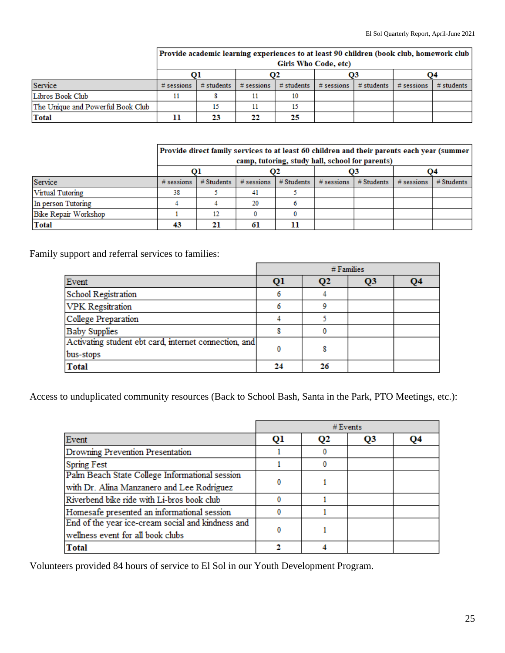|                                   | Provide academic learning experiences to at least 90 children (book club, homework club<br>Girls Who Code, etc) |              |              |                          |              |              |              |              |
|-----------------------------------|-----------------------------------------------------------------------------------------------------------------|--------------|--------------|--------------------------|--------------|--------------|--------------|--------------|
|                                   |                                                                                                                 |              |              |                          | O3           |              | Ο4           |              |
| Service                           | $#$ sessions                                                                                                    | $#$ students | $#$ sessions | $#$ students $\parallel$ | $#$ sessions | $#$ students | $#$ sessions | $#$ students |
| Libros Book Club                  |                                                                                                                 |              |              |                          |              |              |              |              |
| The Unique and Powerful Book Club |                                                                                                                 |              |              |                          |              |              |              |              |
| Total                             |                                                                                                                 | 23           | 22           | 25                       |              |              |              |              |

|                      | Provide direct family services to at least 60 children and their parents each year (summer<br>camp, tutoring, study hall, school for parents) |              |              |                  |              |              |              |              |
|----------------------|-----------------------------------------------------------------------------------------------------------------------------------------------|--------------|--------------|------------------|--------------|--------------|--------------|--------------|
|                      |                                                                                                                                               |              |              | O3               |              | Ο4           |              |              |
| Service              | $#$ sessions                                                                                                                                  | $#$ Students | $#$ sessions | $#$ Students $ $ | $#$ sessions | $#$ Students | $#$ sessions | $#$ Students |
| Virtual Tutoring     | 38                                                                                                                                            |              | 41           |                  |              |              |              |              |
| In person Tutoring   |                                                                                                                                               |              | 20           |                  |              |              |              |              |
| Bike Repair Workshop |                                                                                                                                               | 12           |              |                  |              |              |              |              |
| <b>Total</b>         | 43                                                                                                                                            | 21           | 61           |                  |              |              |              |              |

Family support and referral services to families:

|                                                       |    |              | $#$ Families   |    |
|-------------------------------------------------------|----|--------------|----------------|----|
| Event                                                 | Ql | $\mathbf{Q}$ | Q <sub>3</sub> | Q4 |
| School Registration                                   |    |              |                |    |
| <b>VPK</b> Regsitration                               |    | 9            |                |    |
| College Preparation                                   |    |              |                |    |
| <b>Baby Supplies</b>                                  |    |              |                |    |
| Activating student ebt card, internet connection, and |    | 8            |                |    |
| bus-stops                                             |    |              |                |    |
| <b>Total</b>                                          | 24 | 26           |                |    |

Access to unduplicated community resources (Back to School Bash, Santa in the Park, PTO Meetings, etc.):

|                                                   |    |    | # Events |    |
|---------------------------------------------------|----|----|----------|----|
| Event                                             | Ql | Q2 | Q3       | Q4 |
| Drowning Prevention Presentation                  |    |    |          |    |
| <b>Spring Fest</b>                                |    |    |          |    |
| Palm Beach State College Informational session    |    |    |          |    |
| with Dr. Alina Manzanero and Lee Rodriguez        |    |    |          |    |
| Riverbend bike ride with Li-bros book club        |    |    |          |    |
| Homesafe presented an informational session       |    |    |          |    |
| End of the year ice-cream social and kindness and |    |    |          |    |
| wellness event for all book clubs                 |    |    |          |    |
| <b>Total</b>                                      |    |    |          |    |

Volunteers provided 84 hours of service to El Sol in our Youth Development Program.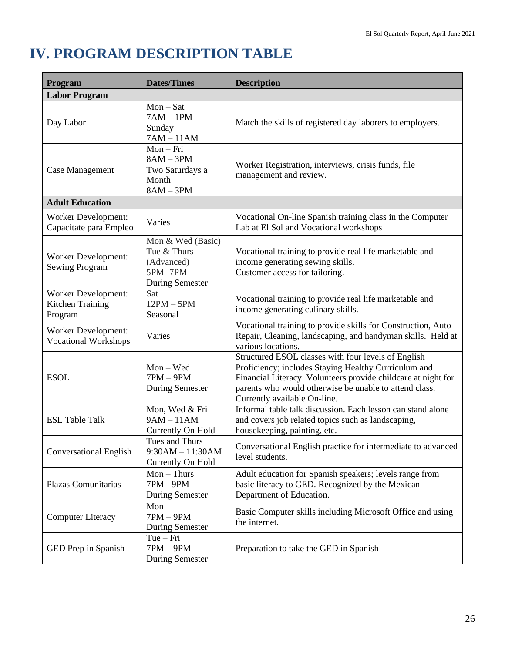# **IV. PROGRAM DESCRIPTION TABLE**

| Program                                                   | <b>Dates/Times</b>                                                                         | <b>Description</b>                                                                                                                                                                                                                                                     |
|-----------------------------------------------------------|--------------------------------------------------------------------------------------------|------------------------------------------------------------------------------------------------------------------------------------------------------------------------------------------------------------------------------------------------------------------------|
| <b>Labor Program</b>                                      |                                                                                            |                                                                                                                                                                                                                                                                        |
| Day Labor                                                 | $Mon-Sat$<br>$7AM - 1PM$<br>Sunday<br>$7AM - 11AM$                                         | Match the skills of registered day laborers to employers.                                                                                                                                                                                                              |
| Case Management                                           | $Mon-Fri$<br>$8AM - 3PM$<br>Two Saturdays a<br>Month<br>$8AM - 3PM$                        | Worker Registration, interviews, crisis funds, file<br>management and review.                                                                                                                                                                                          |
| <b>Adult Education</b>                                    |                                                                                            |                                                                                                                                                                                                                                                                        |
| <b>Worker Development:</b><br>Capacitate para Empleo      | Varies                                                                                     | Vocational On-line Spanish training class in the Computer<br>Lab at El Sol and Vocational workshops                                                                                                                                                                    |
| <b>Worker Development:</b><br><b>Sewing Program</b>       | Mon & Wed (Basic)<br>Tue & Thurs<br>(Advanced)<br><b>5PM-7PM</b><br><b>During Semester</b> | Vocational training to provide real life marketable and<br>income generating sewing skills.<br>Customer access for tailoring.                                                                                                                                          |
| Worker Development:<br>Kitchen Training<br>Program        | Sat<br>$12PM - 5PM$<br>Seasonal                                                            | Vocational training to provide real life marketable and<br>income generating culinary skills.                                                                                                                                                                          |
| <b>Worker Development:</b><br><b>Vocational Workshops</b> | Varies                                                                                     | Vocational training to provide skills for Construction, Auto<br>Repair, Cleaning, landscaping, and handyman skills. Held at<br>various locations.                                                                                                                      |
| <b>ESOL</b>                                               | $Mon - Wed$<br>$7PM - 9PM$<br><b>During Semester</b>                                       | Structured ESOL classes with four levels of English<br>Proficiency; includes Staying Healthy Curriculum and<br>Financial Literacy. Volunteers provide childcare at night for<br>parents who would otherwise be unable to attend class.<br>Currently available On-line. |
| <b>ESL Table Talk</b>                                     | Mon, Wed & Fri<br>$9AM - 11AM$<br>Currently On Hold                                        | Informal table talk discussion. Each lesson can stand alone<br>and covers job related topics such as landscaping,<br>housekeeping, painting, etc.                                                                                                                      |
| <b>Conversational English</b>                             | Tues and Thurs<br>$9:30AM - 11:30AM$<br>Currently On Hold                                  | Conversational English practice for intermediate to advanced<br>level students.                                                                                                                                                                                        |
| Plazas Comunitarias                                       | $Mon$ – Thurs<br><b>7PM - 9PM</b><br>During Semester                                       | Adult education for Spanish speakers; levels range from<br>basic literacy to GED. Recognized by the Mexican<br>Department of Education.                                                                                                                                |
| <b>Computer Literacy</b>                                  | Mon<br>$7PM - 9PM$<br><b>During Semester</b>                                               | Basic Computer skills including Microsoft Office and using<br>the internet.                                                                                                                                                                                            |
| GED Prep in Spanish                                       | $Tue-Fri$<br>$7PM - 9PM$<br><b>During Semester</b>                                         | Preparation to take the GED in Spanish                                                                                                                                                                                                                                 |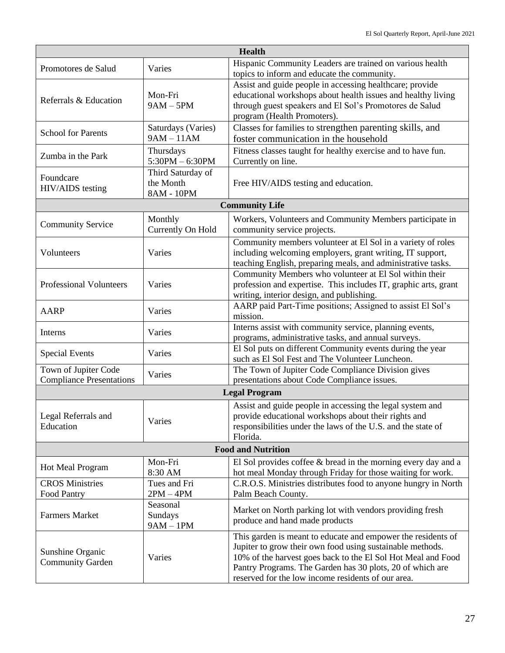| <b>Health</b>                                           |                                              |                                                                                                                                                                                                                                                                                                              |  |  |
|---------------------------------------------------------|----------------------------------------------|--------------------------------------------------------------------------------------------------------------------------------------------------------------------------------------------------------------------------------------------------------------------------------------------------------------|--|--|
| Promotores de Salud                                     | Varies                                       | Hispanic Community Leaders are trained on various health<br>topics to inform and educate the community.                                                                                                                                                                                                      |  |  |
| Referrals & Education                                   | Mon-Fri<br>$9AM - 5PM$                       | Assist and guide people in accessing healthcare; provide<br>educational workshops about health issues and healthy living<br>through guest speakers and El Sol's Promotores de Salud<br>program (Health Promoters).                                                                                           |  |  |
| <b>School for Parents</b>                               | Saturdays (Varies)<br>$9AM - 11AM$           | Classes for families to strengthen parenting skills, and<br>foster communication in the household                                                                                                                                                                                                            |  |  |
| Zumba in the Park                                       | Thursdays<br>$5:30PM - 6:30PM$               | Fitness classes taught for healthy exercise and to have fun.<br>Currently on line.                                                                                                                                                                                                                           |  |  |
| Foundcare<br>HIV/AIDS testing                           | Third Saturday of<br>the Month<br>8AM - 10PM | Free HIV/AIDS testing and education.                                                                                                                                                                                                                                                                         |  |  |
|                                                         |                                              | <b>Community Life</b>                                                                                                                                                                                                                                                                                        |  |  |
| <b>Community Service</b>                                | Monthly<br>Currently On Hold                 | Workers, Volunteers and Community Members participate in<br>community service projects.                                                                                                                                                                                                                      |  |  |
| Volunteers                                              | Varies                                       | Community members volunteer at El Sol in a variety of roles<br>including welcoming employers, grant writing, IT support,<br>teaching English, preparing meals, and administrative tasks.                                                                                                                     |  |  |
| <b>Professional Volunteers</b>                          | Varies                                       | Community Members who volunteer at El Sol within their<br>profession and expertise. This includes IT, graphic arts, grant<br>writing, interior design, and publishing.                                                                                                                                       |  |  |
| <b>AARP</b>                                             | Varies                                       | AARP paid Part-Time positions; Assigned to assist El Sol's<br>mission.                                                                                                                                                                                                                                       |  |  |
| Interns                                                 | Varies                                       | Interns assist with community service, planning events,<br>programs, administrative tasks, and annual surveys.                                                                                                                                                                                               |  |  |
| <b>Special Events</b>                                   | Varies                                       | El Sol puts on different Community events during the year<br>such as El Sol Fest and The Volunteer Luncheon.                                                                                                                                                                                                 |  |  |
| Town of Jupiter Code<br><b>Compliance Presentations</b> | Varies                                       | The Town of Jupiter Code Compliance Division gives<br>presentations about Code Compliance issues.                                                                                                                                                                                                            |  |  |
|                                                         |                                              | <b>Legal Program</b>                                                                                                                                                                                                                                                                                         |  |  |
| Legal Referrals and<br>Education                        | Varies                                       | Assist and guide people in accessing the legal system and<br>provide educational workshops about their rights and<br>responsibilities under the laws of the U.S. and the state of<br>Florida.                                                                                                                |  |  |
|                                                         |                                              | <b>Food and Nutrition</b>                                                                                                                                                                                                                                                                                    |  |  |
| <b>Hot Meal Program</b>                                 | Mon-Fri<br>8:30 AM                           | El Sol provides coffee $\&$ bread in the morning every day and a<br>hot meal Monday through Friday for those waiting for work.                                                                                                                                                                               |  |  |
| <b>CROS Ministries</b><br><b>Food Pantry</b>            | Tues and Fri<br>$2PM - 4PM$                  | C.R.O.S. Ministries distributes food to anyone hungry in North<br>Palm Beach County.                                                                                                                                                                                                                         |  |  |
| <b>Farmers Market</b>                                   | Seasonal<br>Sundays<br>$9AM - 1PM$           | Market on North parking lot with vendors providing fresh<br>produce and hand made products                                                                                                                                                                                                                   |  |  |
| Sunshine Organic<br><b>Community Garden</b>             | Varies                                       | This garden is meant to educate and empower the residents of<br>Jupiter to grow their own food using sustainable methods.<br>10% of the harvest goes back to the El Sol Hot Meal and Food<br>Pantry Programs. The Garden has 30 plots, 20 of which are<br>reserved for the low income residents of our area. |  |  |